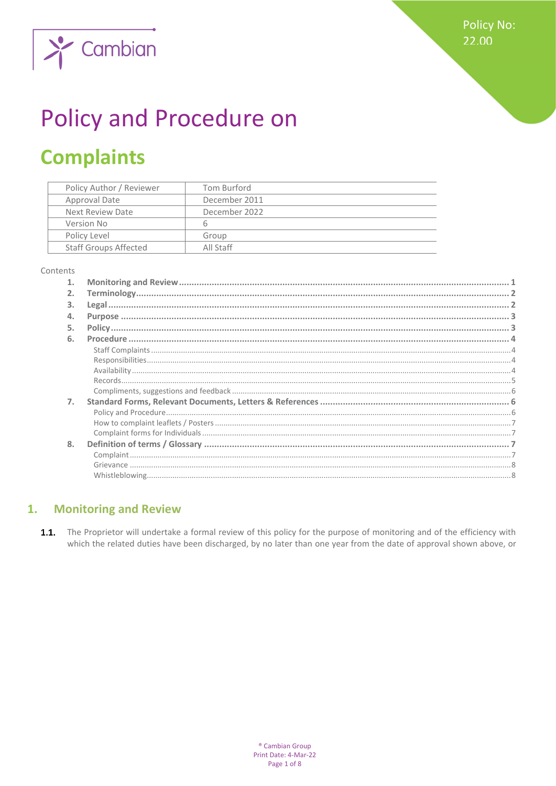**Policy No:** 22.00



# **Policy and Procedure on**

## **Complaints**

| Policy Author / Reviewer     | Tom Burford   |
|------------------------------|---------------|
| Approval Date                | December 2011 |
| Next Review Date             | December 2022 |
| Version No                   | 6             |
| Policy Level                 | Group         |
| <b>Staff Groups Affected</b> | All Staff     |

#### Contents

| 2. |  |
|----|--|
| 3. |  |
| 4. |  |
| 5. |  |
| 6. |  |
|    |  |
|    |  |
|    |  |
|    |  |
|    |  |
| 7. |  |
|    |  |
|    |  |
|    |  |
| 8. |  |
|    |  |
|    |  |
|    |  |

#### <span id="page-0-0"></span>**Monitoring and Review**  $1.$

 $1.1.$ The Proprietor will undertake a formal review of this policy for the purpose of monitoring and of the efficiency with which the related duties have been discharged, by no later than one year from the date of approval shown above, or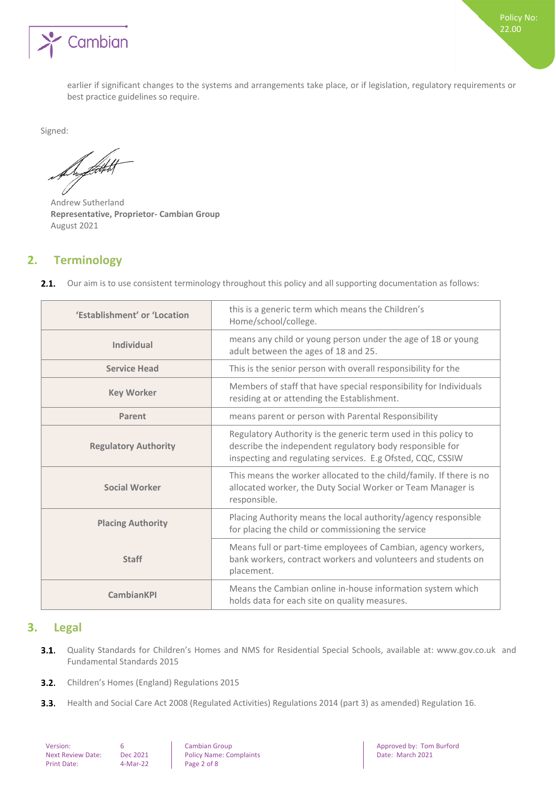

earlier if significant changes to the systems and arrangements take place, or if legislation, regulatory requirements or best practice guidelines so require.

Signed:

Support

Andrew Sutherland **Representative, Proprietor- Cambian Group** August 2021

## <span id="page-1-0"></span>**2. Terminology**

| 'Establishment' or 'Location | this is a generic term which means the Children's<br>Home/school/college.                                                                                                                 |
|------------------------------|-------------------------------------------------------------------------------------------------------------------------------------------------------------------------------------------|
| Individual                   | means any child or young person under the age of 18 or young<br>adult between the ages of 18 and 25.                                                                                      |
| <b>Service Head</b>          | This is the senior person with overall responsibility for the                                                                                                                             |
| <b>Key Worker</b>            | Members of staff that have special responsibility for Individuals<br>residing at or attending the Establishment.                                                                          |
| Parent                       | means parent or person with Parental Responsibility                                                                                                                                       |
| <b>Regulatory Authority</b>  | Regulatory Authority is the generic term used in this policy to<br>describe the independent regulatory body responsible for<br>inspecting and regulating services. E.g Ofsted, CQC, CSSIW |
| <b>Social Worker</b>         | This means the worker allocated to the child/family. If there is no<br>allocated worker, the Duty Social Worker or Team Manager is<br>responsible.                                        |
| <b>Placing Authority</b>     | Placing Authority means the local authority/agency responsible<br>for placing the child or commissioning the service                                                                      |
| <b>Staff</b>                 | Means full or part-time employees of Cambian, agency workers,<br>bank workers, contract workers and volunteers and students on<br>placement.                                              |
| <b>CambianKPI</b>            | Means the Cambian online in-house information system which<br>holds data for each site on quality measures.                                                                               |

2.1. Our aim is to use consistent terminology throughout this policy and all supporting documentation as follows:

## <span id="page-1-1"></span>**3. Legal**

- Quality Standards for Children's Homes and NMS for Residential Special Schools, available at: www.gov.co.uk and  $3.1.$ Fundamental Standards 2015
- $3.2.$ Children's Homes (England) Regulations 2015
- $3.3.$ Health and Social Care Act 2008 (Regulated Activities) Regulations 2014 (part 3) as amended) Regulation 16.

| Version:                 | 6 |
|--------------------------|---|
| <b>Next Review Date:</b> |   |
| <b>Print Date:</b>       | 4 |

Policy Name: Complaints  $4-Mar-22$  Page 2 of 8

version: Cambian Group Approved by: Tom Burford<br>
Pec 2021 Policy Name: Complaints Approved by: Communication: Date: March 2021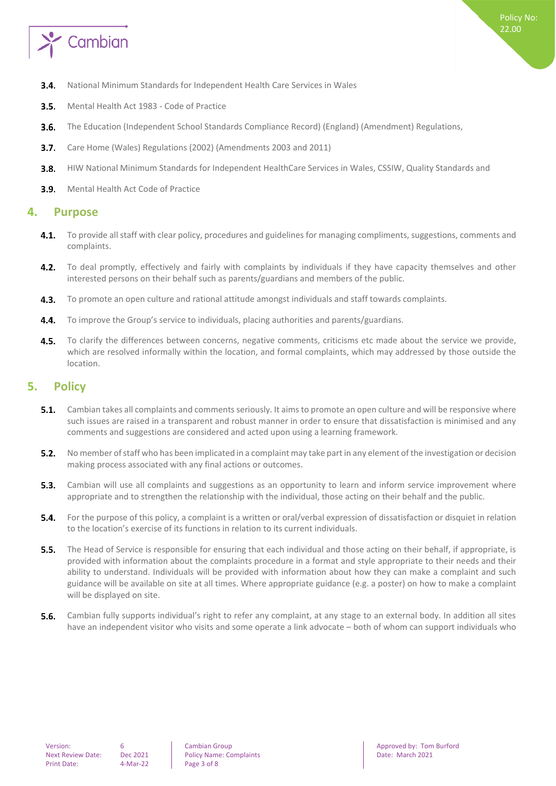

- $3.4.$ National Minimum Standards for Independent Health Care Services in Wales
- Mental Health Act 1983 Code of Practice  $3.5.$
- $3.6.$ The Education (Independent School Standards Compliance Record) (England) (Amendment) Regulations,
- $3.7.$ Care Home (Wales) Regulations (2002) (Amendments 2003 and 2011)
- $3.8.$ HIW National Minimum Standards for Independent HealthCare Services in Wales, CSSIW, Quality Standards and
- <span id="page-2-0"></span>**3.9.** Mental Health Act Code of Practice

## **4. Purpose**

- To provide all staff with clear policy, procedures and guidelines for managing compliments, suggestions, comments and  $4.1.$ complaints.
- To deal promptly, effectively and fairly with complaints by individuals if they have capacity themselves and other  $4.2.$ interested persons on their behalf such as parents/guardians and members of the public.
- $4.3.$ To promote an open culture and rational attitude amongst individuals and staff towards complaints.
- To improve the Group's service to individuals, placing authorities and parents/guardians.  $4.4.$
- $4.5.$ To clarify the differences between concerns, negative comments, criticisms etc made about the service we provide, which are resolved informally within the location, and formal complaints, which may addressed by those outside the location.

## <span id="page-2-1"></span>**5. Policy**

- $5.1.$ Cambian takes all complaints and comments seriously. It aims to promote an open culture and will be responsive where such issues are raised in a transparent and robust manner in order to ensure that dissatisfaction is minimised and any comments and suggestions are considered and acted upon using a learning framework.
- $5.2.$ No member of staff who has been implicated in a complaint may take part in any element of the investigation or decision making process associated with any final actions or outcomes.
- 5.3. Cambian will use all complaints and suggestions as an opportunity to learn and inform service improvement where appropriate and to strengthen the relationship with the individual, those acting on their behalf and the public.
- For the purpose of this policy, a complaint is a written or oral/verbal expression of dissatisfaction or disquiet in relation  $5.4.$ to the location's exercise of its functions in relation to its current individuals.
- **5.5.** The Head of Service is responsible for ensuring that each individual and those acting on their behalf, if appropriate, is provided with information about the complaints procedure in a format and style appropriate to their needs and their ability to understand. Individuals will be provided with information about how they can make a complaint and such guidance will be available on site at all times. Where appropriate guidance (e.g. a poster) on how to make a complaint will be displayed on site.
- $5.6.$ Cambian fully supports individual's right to refer any complaint, at any stage to an external body. In addition all sites have an independent visitor who visits and some operate a link advocate – both of whom can support individuals who

Next Review Date: Dec 2021 Policy Name: Complaints Date: March 2021 Date: March 2021

Version: 6 6 | Cambian Group | Cambian Group | Approved by: Tom Burford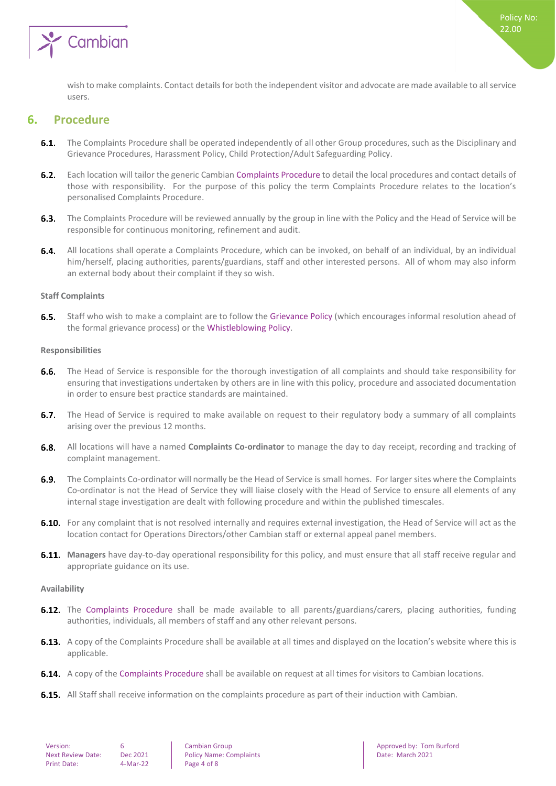

wish to make complaints. Contact details for both the independent visitor and advocate are made available to all service users.

## <span id="page-3-0"></span>**6. Procedure**

- **6.1.** The Complaints Procedure shall be operated independently of all other Group procedures, such as the Disciplinary and Grievance Procedures, Harassment Policy, Child Protection/Adult Safeguarding Policy.
- $6.2.$ Each location will tailor the generic Cambian Complaints Procedure to detail the local procedures and contact details of those with responsibility. For the purpose of this policy the term Complaints Procedure relates to the location's personalised Complaints Procedure.
- $6.3.$ The Complaints Procedure will be reviewed annually by the group in line with the Policy and the Head of Service will be responsible for continuous monitoring, refinement and audit.
- 6.4. All locations shall operate a Complaints Procedure, which can be invoked, on behalf of an individual, by an individual him/herself, placing authorities, parents/guardians, staff and other interested persons. All of whom may also inform an external body about their complaint if they so wish.

#### <span id="page-3-1"></span>**Staff Complaints**

 $6.5.$ Staff who wish to make a complaint are to follow the Grievance Policy (which encourages informal resolution ahead of the formal grievance process) or the Whistleblowing Policy.

#### <span id="page-3-2"></span>**Responsibilities**

- $6.6.$ The Head of Service is responsible for the thorough investigation of all complaints and should take responsibility for ensuring that investigations undertaken by others are in line with this policy, procedure and associated documentation in order to ensure best practice standards are maintained.
- 6.7. The Head of Service is required to make available on request to their regulatory body a summary of all complaints arising over the previous 12 months.
- All locations will have a named **Complaints Co-ordinator** to manage the day to day receipt, recording and tracking of complaint management.
- $6.9.$ The Complaints Co-ordinator will normally be the Head of Service is small homes. For larger sites where the Complaints Co-ordinator is not the Head of Service they will liaise closely with the Head of Service to ensure all elements of any internal stage investigation are dealt with following procedure and within the published timescales.
- 6.10. For any complaint that is not resolved internally and requires external investigation, the Head of Service will act as the location contact for Operations Directors/other Cambian staff or external appeal panel members.
- **Managers** have day-to-day operational responsibility for this policy, and must ensure that all staff receive regular and appropriate guidance on its use.

#### <span id="page-3-3"></span>**Availability**

- **6.12.** The Complaints Procedure shall be made available to all parents/guardians/carers, placing authorities, funding authorities, individuals, all members of staff and any other relevant persons.
- **6.13.** A copy of the Complaints Procedure shall be available at all times and displayed on the location's website where this is applicable.
- **6.14.** A copy of the Complaints Procedure shall be available on request at all times for visitors to Cambian locations.
- **6.15.** All Staff shall receive information on the complaints procedure as part of their induction with Cambian.

| Version:                 |  |
|--------------------------|--|
| <b>Next Review Date:</b> |  |
| <b>Print Date:</b>       |  |

Next 2021 Policy Name: Complaints Date: March 2021 Policy Name: Complaints Date: March 2021  $4-Mar-22$  Page 4 of 8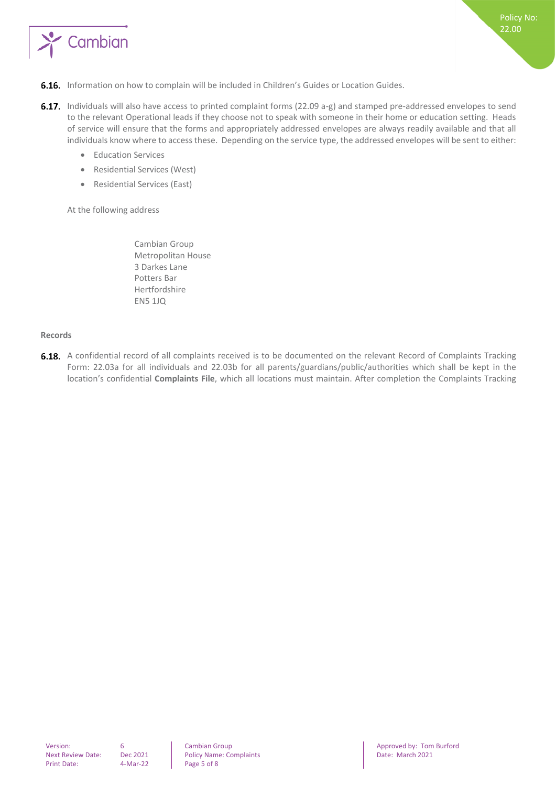

- **6.16.** Information on how to complain will be included in Children's Guides or Location Guides.
- 6.17. Individuals will also have access to printed complaint forms (22.09 a-g) and stamped pre-addressed envelopes to send to the relevant Operational leads if they choose not to speak with someone in their home or education setting. Heads of service will ensure that the forms and appropriately addressed envelopes are always readily available and that all individuals know where to access these. Depending on the service type, the addressed envelopes will be sent to either:
	- Education Services
	- Residential Services (West)
	- Residential Services (East)

At the following address

Cambian Group Metropolitan House 3 Darkes Lane Potters Bar Hertfordshire EN5 1JQ

#### <span id="page-4-0"></span>**Records**

**6.18.** A confidential record of all complaints received is to be documented on the relevant Record of Complaints Tracking Form: 22.03a for all individuals and 22.03b for all parents/guardians/public/authorities which shall be kept in the location's confidential **Complaints File**, which all locations must maintain. After completion the Complaints Tracking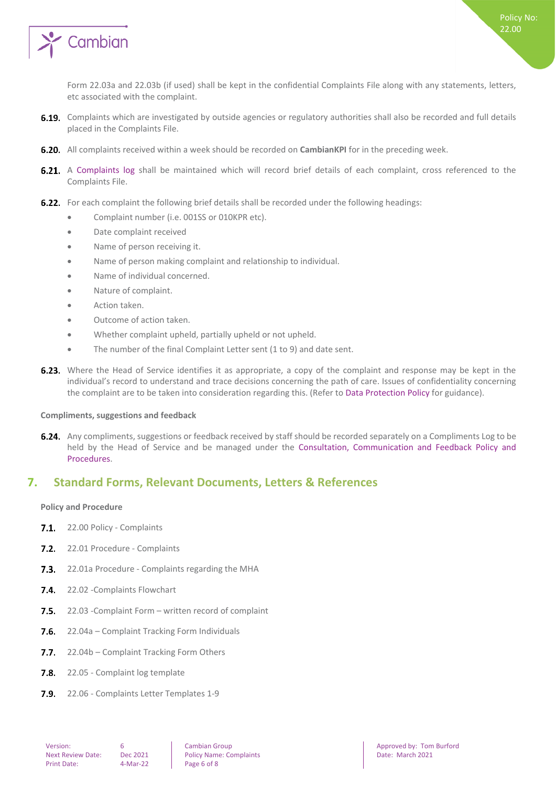

Form 22.03a and 22.03b (if used) shall be kept in the confidential Complaints File along with any statements, letters, etc associated with the complaint.

- 6.19. Complaints which are investigated by outside agencies or regulatory authorities shall also be recorded and full details placed in the Complaints File.
- **6.20.** All complaints received within a week should be recorded on **CambianKPI** for in the preceding week.
- 6.21. A Complaints log shall be maintained which will record brief details of each complaint, cross referenced to the Complaints File.
- 6.22. For each complaint the following brief details shall be recorded under the following headings:
	- Complaint number (i.e. 001SS or 010KPR etc).
	- Date complaint received
	- Name of person receiving it.
	- Name of person making complaint and relationship to individual.
	- Name of individual concerned.
	- Nature of complaint.
	- Action taken.
	- Outcome of action taken.
	- Whether complaint upheld, partially upheld or not upheld.
	- The number of the final Complaint Letter sent (1 to 9) and date sent.
- **6.23.** Where the Head of Service identifies it as appropriate, a copy of the complaint and response may be kept in the individual's record to understand and trace decisions concerning the path of care. Issues of confidentiality concerning the complaint are to be taken into consideration regarding this. (Refer to Data Protection Policy for guidance).

#### <span id="page-5-0"></span>**Compliments, suggestions and feedback**

**6.24.** Any compliments, suggestions or feedback received by staff should be recorded separately on a Compliments Log to be held by the Head of Service and be managed under the Consultation, Communication and Feedback Policy and Procedures.

## <span id="page-5-1"></span>**7. Standard Forms, Relevant Documents, Letters & References**

#### <span id="page-5-2"></span>**Policy and Procedure**

- 7.1. 22.00 Policy Complaints
- 7.2. 22.01 Procedure Complaints
- $7.3.$ 22.01a Procedure - Complaints regarding the MHA
- 7.4. 22.02 Complaints Flowchart
- $7.5.$ 22.03 -Complaint Form – written record of complaint
- $7.6.$ 22.04a – Complaint Tracking Form Individuals
- $7.7.$ 22.04b – Complaint Tracking Form Others
- $7.8.$ 22.05 - Complaint log template
- 7.9. 22.06 Complaints Letter Templates 1-9

Next Review Date: Dec 2021 Policy Name: Complaints Date: March 2021 Date: March 2021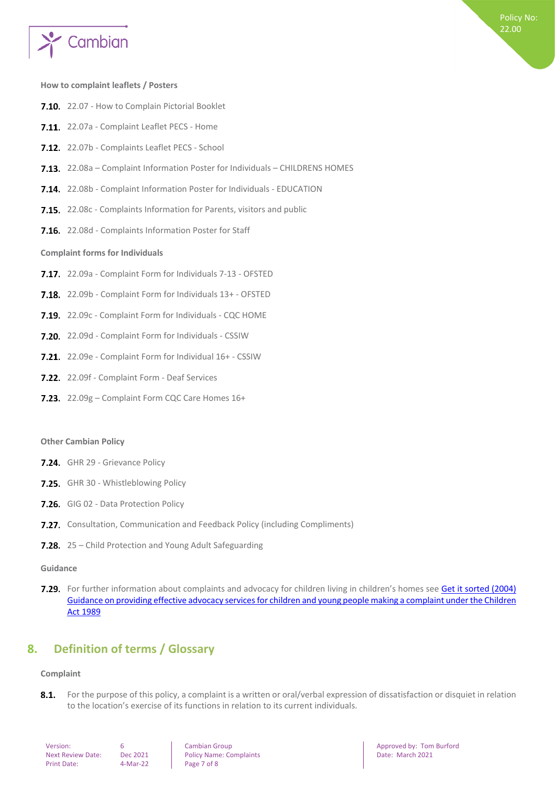

#### <span id="page-6-0"></span>**How to complaint leaflets / Posters**

- 7.10. 22.07 How to Complain Pictorial Booklet
- 7.11. 22.07a Complaint Leaflet PECS Home
- 7.12. 22.07b Complaints Leaflet PECS School
- 7.13. 22.08a Complaint Information Poster for Individuals CHILDRENS HOMES
- 22.08b Complaint Information Poster for Individuals EDUCATION
- 7.15. 22.08c Complaints Information for Parents, visitors and public
- <span id="page-6-1"></span>7.16. 22.08d - Complaints Information Poster for Staff

#### **Complaint forms for Individuals**

- 7.17. 22.09a Complaint Form for Individuals 7-13 OFSTED
- 7.18. 22.09b Complaint Form for Individuals 13+ OFSTED
- 7.19 22.09c Complaint Form for Individuals CQC HOME
- **7.20.** 22.09d Complaint Form for Individuals CSSIW
- 7.21. 22.09e Complaint Form for Individual 16+ CSSIW
- 7.22. 22.09f Complaint Form Deaf Services
- 7.23. 22.09g Complaint Form CQC Care Homes 16+

#### **Other Cambian Policy**

- 7.24. GHR 29 Grievance Policy
- 7.25. GHR 30 Whistleblowing Policy
- 7.26. GIG 02 Data Protection Policy
- **7.27.** Consultation, Communication and Feedback Policy (including Compliments)
- 7.28. 25 Child Protection and Young Adult Safeguarding

#### **Guidance**

7.29. For further information about complaints and advocacy for children living in children's homes see Get it sorted (2004) [Guidance on providing effective advocacy services for children and young people making a complaint under the Children](https://www.gov.uk/government/publications/advocacy-services-for-children-and-young-people)  [Act 1989](https://www.gov.uk/government/publications/advocacy-services-for-children-and-young-people)

## <span id="page-6-2"></span>**8. Definition of terms / Glossary**

#### <span id="page-6-3"></span>**Complaint**

 $8.1.$ For the purpose of this policy, a complaint is a written or oral/verbal expression of dissatisfaction or disquiet in relation to the location's exercise of its functions in relation to its current individuals.

Next 2021 Policy Name: Complaints Date: March 2021 Policy Name: Complaints Date: March 2021 4-Mar-22 Page 7 of 8

**Version: 6 Cambian Group Approved by: Tom Burford Approved by: Tom Burford Approved by: Tom Burford**